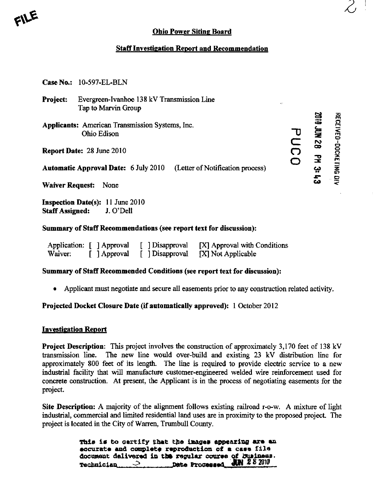

# Ohio Power Siting Board

# Staff Investigation Report and Recommendation

|  | <b>Case No.: 10-597-EL-BLN</b> |
|--|--------------------------------|
|--|--------------------------------|

- Project: Evergreen-Ivanhoe 138 kV Transmission Line Tap to Marvin Group
- Applicants: American Transmission Systems, Inc. Ohio Edison
- Report Date: 28 June 2010

Automatic Approval Date: 6 July 2010 (Letter of Notification process)

Waiver Request: None

Inspection Date(s): 11 June 2010 Staff Assigned: J. O'Dell

### Summary of Staff Recommendations (see report text for discussion):

| Application: [ ] Approval |              | [ ] Disapproval | [X] Approval with Conditions |
|---------------------------|--------------|-----------------|------------------------------|
| Waiver:                   | [ ] Approval | [ ] Disapproval | [X] Not Applicable           |

### Summary of Staff Recommended Conditions (see report text for discussion):

• Applicant must negotiate and secure all easements prior to any construction related activity.

Projected Docket Closure Date (if automatically approved): 1 October 2012

#### Investigation Report

Project Description: This project involves the construction of approximately 3,170 feet of 138 kV transmission line. The new line would over-build and existing 23 kV distribution line for approximately 800 feet of its length. The line is required to provide electric service to a new mdustrial facility that will manufacture customer-engmeered welded wire reinforcement used for concrete construction. At present, the Applicant is in the process of negotiating easements for the project.

Site Description: A majority of the alignment follows existing railroad r-o-w. A mixture of light industrial, commercial and limited residential land uses are in proximity to the proposed project. The project is located in the City of Warren, Trumbull County.

> This is to certify that the images appearing are an eocurate and complete reproduction of a case file document delivered in the regular course of business.<br>
> The 2.8 mm Technician<sub>2</sub> pate Processed<sub>3</sub> pate 28 2010

 $\bf \approx$  2 æ  $\mathbf{F}$ بب<br>–  $\boldsymbol{\omega}$ **KG DN** 

o ₹

i Dockei

C  $\overline{\Omega}$ o Z